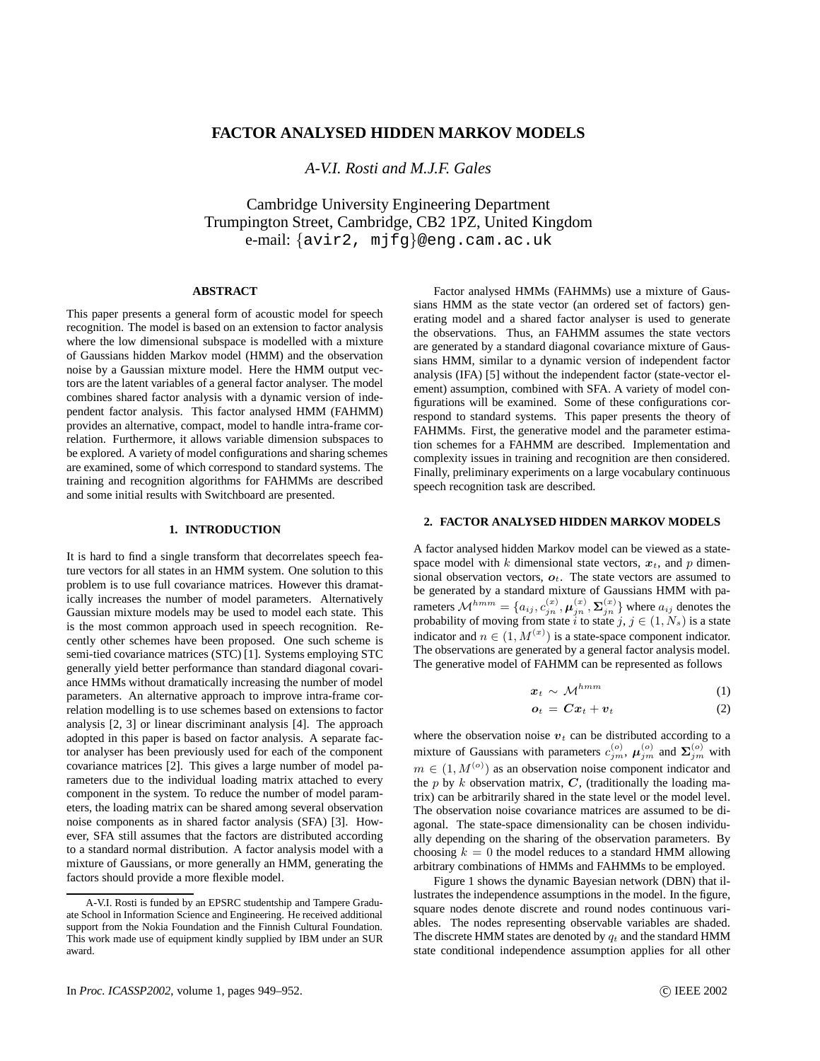# **FACTOR ANALYSED HIDDEN MARKOV MODELS**

*A-V.I. Rosti and M.J.F. Gales*

Cambridge University Engineering Department Trumpington Street, Cambridge, CB2 1PZ, United Kingdom e-mail: {avir2, mjfg}@eng.cam.ac.uk

## **ABSTRACT**

This paper presents a general form of acoustic model for speech recognition. The model is based on an extension to factor analysis where the low dimensional subspace is modelled with a mixture of Gaussians hidden Markov model (HMM) and the observation noise by a Gaussian mixture model. Here the HMM output vectors are the latent variables of a general factor analyser. The model combines shared factor analysis with a dynamic version of independent factor analysis. This factor analysed HMM (FAHMM) provides an alternative, compact, model to handle intra-frame correlation. Furthermore, it allows variable dimension subspaces to be explored. A variety of model configurations and sharing schemes are examined, some of which correspond to standard systems. The training and recognition algorithms for FAHMMs are described and some initial results with Switchboard are presented.

## **1. INTRODUCTION**

It is hard to find a single transform that decorrelates speech feature vectors for all states in an HMM system. One solution to this problem is to use full covariance matrices. However this dramatically increases the number of model parameters. Alternatively Gaussian mixture models may be used to model each state. This is the most common approach used in speech recognition. Recently other schemes have been proposed. One such scheme is semi-tied covariance matrices (STC) [1]. Systems employing STC generally yield better performance than standard diagonal covariance HMMs without dramatically increasing the number of model parameters. An alternative approach to improve intra-frame correlation modelling is to use schemes based on extensions to factor analysis [2, 3] or linear discriminant analysis [4]. The approach adopted in this paper is based on factor analysis. A separate factor analyser has been previously used for each of the component covariance matrices [2]. This gives a large number of model parameters due to the individual loading matrix attached to every component in the system. To reduce the number of model parameters, the loading matrix can be shared among several observation noise components as in shared factor analysis (SFA) [3]. However, SFA still assumes that the factors are distributed according to a standard normal distribution. A factor analysis model with a mixture of Gaussians, or more generally an HMM, generating the factors should provide a more flexible model.

Factor analysed HMMs (FAHMMs) use a mixture of Gaussians HMM as the state vector (an ordered set of factors) generating model and a shared factor analyser is used to generate the observations. Thus, an FAHMM assumes the state vectors are generated by a standard diagonal covariance mixture of Gaussians HMM, similar to a dynamic version of independent factor analysis (IFA) [5] without the independent factor (state-vector element) assumption, combined with SFA. A variety of model configurations will be examined. Some of these configurations correspond to standard systems. This paper presents the theory of FAHMMs. First, the generative model and the parameter estimation schemes for a FAHMM are described. Implementation and complexity issues in training and recognition are then considered. Finally, preliminary experiments on a large vocabulary continuous speech recognition task are described.

## **2. FACTOR ANALYSED HIDDEN MARKOV MODELS**

A factor analysed hidden Markov model can be viewed as a statespace model with k dimensional state vectors,  $x_t$ , and p dimensional observation vectors,  $o_t$ . The state vectors are assumed to be generated by a standard mixture of Gaussians HMM with parameters  $\mathcal{M}^{hmm}=\{a_{ij},c_{jn}^{(x)},\boldsymbol{\mu}_{jn}^{(x)},\boldsymbol{\Sigma}_{jn}^{(x)}\}$  where  $a_{ij}$  denotes the probability of moving from state i to state  $j, j \in (1, N_s)$  is a state indicator and  $n \in (1, M^{(x)})$  is a state-space component indicator. The observations are generated by a general factor analysis model. The generative model of FAHMM can be represented as follows

$$
x_t \sim \mathcal{M}^{hmm} \tag{1}
$$

$$
o_t = Cx_t + v_t \tag{2}
$$

where the observation noise  $v_t$  can be distributed according to a mixture of Gaussians with parameters  $c_{jm}^{(o)}$ ,  $\mu_{jm}^{(o)}$  and  $\Sigma_{jm}^{(o)}$  with  $m \in (1, M^{(o)})$  as an observation noise component indicator and the p by k observation matrix,  $C$ , (traditionally the loading matrix) can be arbitrarily shared in the state level or the model level. The observation noise covariance matrices are assumed to be diagonal. The state-space dimensionality can be chosen individually depending on the sharing of the observation parameters. By choosing  $k = 0$  the model reduces to a standard HMM allowing arbitrary combinations of HMMs and FAHMMs to be employed.

Figure 1 shows the dynamic Bayesian network (DBN) that illustrates the independence assumptions in the model. In the figure, square nodes denote discrete and round nodes continuous variables. The nodes representing observable variables are shaded. The discrete HMM states are denoted by  $q_t$  and the standard HMM state conditional independence assumption applies for all other

A-V.I. Rosti is funded by an EPSRC studentship and Tampere Graduate School in Information Science and Engineering. He received additional support from the Nokia Foundation and the Finnish Cultural Foundation. This work made use of equipment kindly supplied by IBM under an SUR award.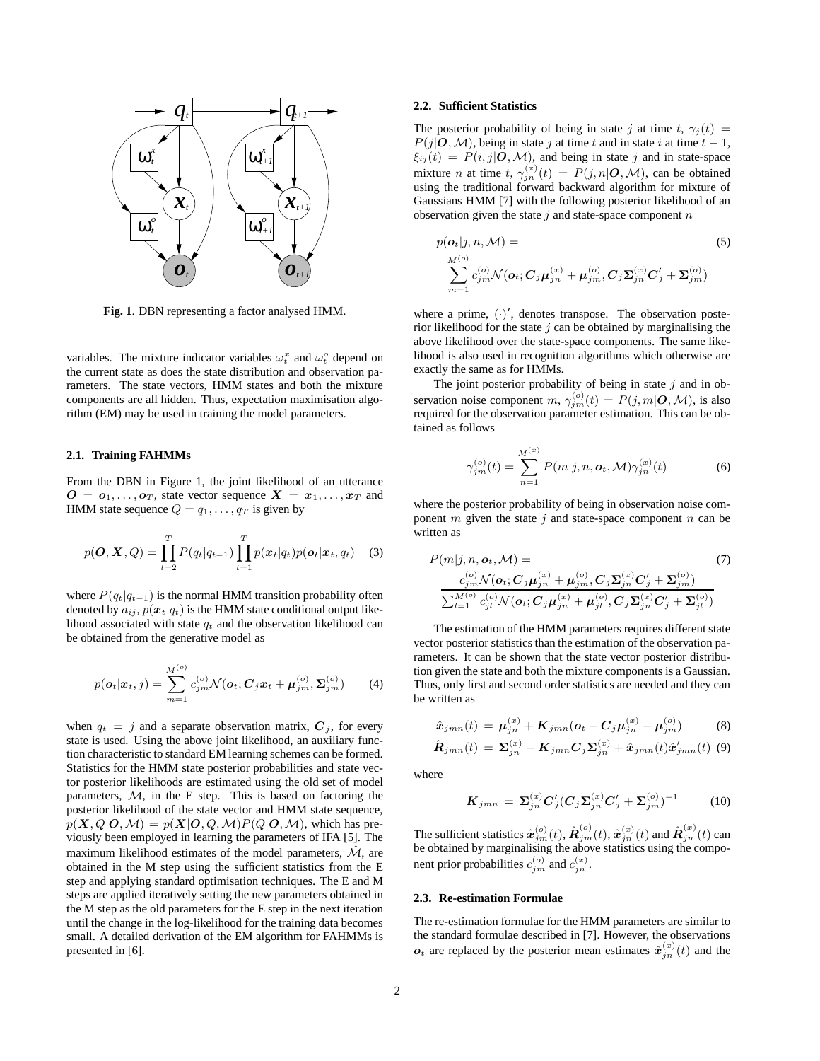

**Fig. 1**. DBN representing a factor analysed HMM.

variables. The mixture indicator variables  $\omega_t^x$  and  $\omega_t^o$  depend on the current state as does the state distribution and observation parameters. The state vectors, HMM states and both the mixture components are all hidden. Thus, expectation maximisation algorithm (EM) may be used in training the model parameters.

#### **2.1. Training FAHMMs**

From the DBN in Figure 1, the joint likelihood of an utterance  $O = o_1, \ldots, o_T$ , state vector sequence  $X = x_1, \ldots, x_T$  and HMM state sequence  $Q = q_1, \ldots, q_T$  is given by

$$
p(\boldsymbol{O}, \boldsymbol{X}, Q) = \prod_{t=2}^{T} P(q_t|q_{t-1}) \prod_{t=1}^{T} p(\boldsymbol{x}_t|q_t) p(\boldsymbol{o}_t|\boldsymbol{x}_t, q_t) \quad (3)
$$

where  $P(q_t|q_{t-1})$  is the normal HMM transition probability often denoted by  $a_{ij}$ ,  $p(x_t|q_t)$  is the HMM state conditional output likelihood associated with state  $q_t$  and the observation likelihood can be obtained from the generative model as

$$
p(\boldsymbol{o}_t|\boldsymbol{x}_t,j) = \sum_{m=1}^{M^{(o)}} c_{jm}^{(o)} \mathcal{N}(\boldsymbol{o}_t; \boldsymbol{C}_j \boldsymbol{x}_t + \boldsymbol{\mu}_{jm}^{(o)}, \boldsymbol{\Sigma}_{jm}^{(o)})
$$
(4)

when  $q_t = j$  and a separate observation matrix,  $C_j$ , for every state is used. Using the above joint likelihood, an auxiliary function characteristic to standard EM learning schemes can be formed. Statistics for the HMM state posterior probabilities and state vector posterior likelihoods are estimated using the old set of model parameters, M, in the E step. This is based on factoring the posterior likelihood of the state vector and HMM state sequence,  $p(X, Q|O, M) = p(X|O, Q, M)P(Q|O, M)$ , which has previously been employed in learning the parameters of IFA [5]. The maximum likelihood estimates of the model parameters,  $\hat{\mathcal{M}}$ , are obtained in the M step using the sufficient statistics from the E step and applying standard optimisation techniques. The E and M steps are applied iteratively setting the new parameters obtained in the M step as the old parameters for the E step in the next iteration until the change in the log-likelihood for the training data becomes small. A detailed derivation of the EM algorithm for FAHMMs is presented in [6].

#### **2.2. Sufficient Statistics**

The posterior probability of being in state j at time t,  $\gamma_i(t)$  =  $P(j|O,\mathcal{M})$ , being in state j at time t and in state i at time  $t-1$ ,  $\xi_{ij}(t) = P(i, j | \mathbf{O}, \mathcal{M})$ , and being in state j and in state-space mixture *n* at time t,  $\gamma_{jn}^{(x)}(t) = P(j,n|\mathbf{O},\mathcal{M})$ , can be obtained using the traditional forward backward algorithm for mixture of Gaussians HMM [7] with the following posterior likelihood of an observation given the state  $j$  and state-space component  $n$ 

$$
p(\boldsymbol{o}_t|j, n, \mathcal{M}) =
$$
\n
$$
\sum_{m=1}^{M^{(o)}} c_{jm}^{(o)} \mathcal{N}(\boldsymbol{o}_t; \boldsymbol{C}_j \boldsymbol{\mu}_{jn}^{(x)} + \boldsymbol{\mu}_{jm}^{(o)}, \boldsymbol{C}_j \boldsymbol{\Sigma}_{jn}^{(x)} \boldsymbol{C}_j' + \boldsymbol{\Sigma}_{jm}^{(o)})
$$
\n
$$
(5)
$$

where a prime,  $(\cdot)'$ , denotes transpose. The observation posterior likelihood for the state  $i$  can be obtained by marginalising the above likelihood over the state-space components. The same likelihood is also used in recognition algorithms which otherwise are exactly the same as for HMMs.

The joint posterior probability of being in state  $j$  and in observation noise component  $m, \gamma_{jm}^{(o)}(t) = P(j, m | \boldsymbol{O}, \mathcal{M})$ , is also required for the observation parameter estimation. This can be obtained as follows

$$
\gamma_{jm}^{(o)}(t) = \sum_{n=1}^{M^{(x)}} P(m|j, n, o_t, \mathcal{M}) \gamma_{jn}^{(x)}(t)
$$
(6)

where the posterior probability of being in observation noise component m given the state  $j$  and state-space component  $n$  can be written as

$$
P(m|j, n, o_t, \mathcal{M}) = (7)
$$
  
\n
$$
c_{jm}^{(o)} \mathcal{N}(o_t; C_j \mu_{jn}^{(x)} + \mu_{jm}^{(o)}, C_j \Sigma_{jn}^{(x)} C_j' + \Sigma_{jm}^{(o)})
$$
  
\n
$$
\sum_{l=1}^{M^{(o)}} c_{jl}^{(o)} \mathcal{N}(o_t; C_j \mu_{jn}^{(x)} + \mu_{jl}^{(o)}, C_j \Sigma_{jn}^{(x)} C_j' + \Sigma_{jl}^{(o)})
$$

The estimation of the HMM parameters requires different state vector posterior statistics than the estimation of the observation parameters. It can be shown that the state vector posterior distribution given the state and both the mixture components is a Gaussian. Thus, only first and second order statistics are needed and they can be written as

$$
\hat{\boldsymbol{x}}_{jmn}(t) = \boldsymbol{\mu}_{jn}^{(x)} + \boldsymbol{K}_{jmn} (\boldsymbol{o}_t - \boldsymbol{C}_j \boldsymbol{\mu}_{jn}^{(x)} - \boldsymbol{\mu}_{jm}^{(o)})
$$
(8)

$$
\hat{\boldsymbol{R}}_{jmn}(t) = \boldsymbol{\Sigma}_{jn}^{(x)} - \boldsymbol{K}_{jmn} \boldsymbol{C}_{j} \boldsymbol{\Sigma}_{jn}^{(x)} + \hat{\boldsymbol{x}}_{jmn}(t) \hat{\boldsymbol{x}}'_{jmn}(t) \tag{9}
$$

where

$$
K_{jmn} = \Sigma_{jn}^{(x)} C_j' (C_j \Sigma_{jn}^{(x)} C_j' + \Sigma_{jm}^{(o)})^{-1}
$$
 (10)

The sufficient statistics  $\hat{x}_{jm}^{(o)}(t),\hat{\bm{R}}_{jm}^{(o)}(t),\hat{\bm{x}}_{jn}^{(x)}(t)$  and  $\hat{\bm{R}}_{jn}^{(x)}(t)$  can be obtained by marginalising the above statistics using the component prior probabilities  $c_{jm}^{(o)}$  and  $c_{jn}^{(x)}$ .

## **2.3. Re-estimation Formulae**

The re-estimation formulae for the HMM parameters are similar to the standard formulae described in [7]. However, the observations  $o_t$  are replaced by the posterior mean estimates  $\hat{x}_{jn}^{(x)}(t)$  and the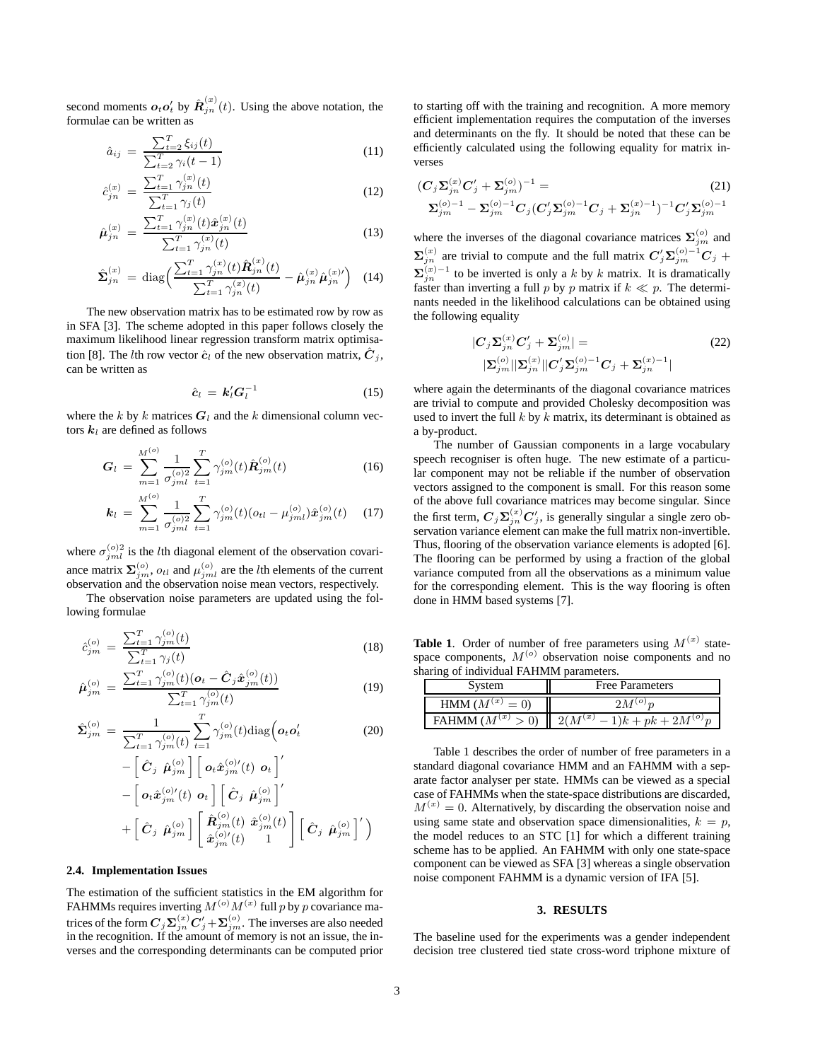second moments  $o_t o'_t$  by  $\hat{\mathbf{R}}_{jn}^{(x)}(t)$ . Using the above notation, the formulae can be written as

$$
\hat{a}_{ij} = \frac{\sum_{t=2}^{T} \xi_{ij}(t)}{\sum_{t=2}^{T} \gamma_i(t-1)}
$$
\n(11)

$$
\hat{c}_{jn}^{(x)} = \frac{\sum_{t=1}^{T} \gamma_{jn}^{(x)}(t)}{\sum_{t=1}^{T} \gamma_j(t)}
$$
\n(12)

$$
\hat{\boldsymbol{\mu}}_{jn}^{(x)} = \frac{\sum_{t=1}^{T} \gamma_{jn}^{(x)}(t) \hat{\boldsymbol{x}}_{jn}^{(x)}(t)}{\sum_{t=1}^{T} \gamma_{jn}^{(x)}(t)}
$$
(13)

$$
\hat{\mathbf{\Sigma}}_{jn}^{(x)} = \text{diag}\Big(\frac{\sum_{t=1}^{T} \gamma_{jn}^{(x)}(t) \hat{\mathbf{R}}_{jn}^{(x)}(t)}{\sum_{t=1}^{T} \gamma_{jn}^{(x)}(t)} - \hat{\boldsymbol{\mu}}_{jn}^{(x)} \hat{\boldsymbol{\mu}}_{jn}^{(x)}\Big) \quad (14)
$$

The new observation matrix has to be estimated row by row as in SFA [3]. The scheme adopted in this paper follows closely the maximum likelihood linear regression transform matrix optimisation [8]. The *l*th row vector  $\hat{c}_l$  of the new observation matrix,  $\hat{C}_j$ , can be written as

$$
\hat{\mathbf{c}}_l = \mathbf{k}_l' \mathbf{G}_l^{-1} \tag{15}
$$

where the k by k matrices  $G_l$  and the k dimensional column vectors  $k_i$  are defined as follows

$$
G_l = \sum_{m=1}^{M^{(o)}} \frac{1}{\sigma_{jml}^{(o)2}} \sum_{t=1}^{T} \gamma_{jm}^{(o)}(t) \hat{\boldsymbol{R}}_{jm}^{(o)}(t)
$$
(16)

$$
\mathbf{k}_{l} = \sum_{m=1}^{M^{(o)}} \frac{1}{\sigma_{jml}^{(o)2}} \sum_{t=1}^{T} \gamma_{jm}^{(o)}(t) (\mathbf{o}_{tl} - \mu_{jml}^{(o)}) \hat{\mathbf{x}}_{jm}^{(o)}(t) \quad (17)
$$

where  $\sigma_{jml}^{(o)2}$  is the *l*th diagonal element of the observation covariance matrix  $\Sigma_{jm}^{(o)}$ ,  $o_{tl}$  and  $\mu_{jml}^{(o)}$  are the *l*th elements of the current observation and the observation noise mean vectors, respectively.

The observation noise parameters are updated using the following formulae

$$
\hat{c}_{jm}^{(o)} = \frac{\sum_{t=1}^{T} \gamma_{jm}^{(o)}(t)}{\sum_{t=1}^{T} \gamma_j(t)}
$$
\n(18)

$$
\hat{\boldsymbol{\mu}}_{jm}^{(o)} = \frac{\sum_{t=1}^{T} \gamma_{jm}^{(o)}(t) (\boldsymbol{o}_t - \hat{\boldsymbol{C}}_j \hat{\boldsymbol{x}}_{jm}^{(o)}(t))}{\sum_{t=1}^{T} \gamma_{jm}^{(o)}(t)}
$$
(19)

$$
\hat{\mathbf{\Sigma}}_{jm}^{(o)} = \frac{1}{\sum_{t=1}^{T} \gamma_{jm}^{(o)}(t)} \sum_{t=1}^{T} \gamma_{jm}^{(o)}(t) \text{diag}\left(\mathbf{o}_t \mathbf{o}_t'\right) \tag{20}
$$

$$
\begin{aligned}&-\left[\left.\hat{\boldsymbol{C}}_j \ \hat{\boldsymbol{\mu}}_{jm}^{(o)}\right]\left[\ \boldsymbol{o}_t \hat{\boldsymbol{x}}_{jm}^{(o)\prime}(t) \ \boldsymbol{o}_t\ \right]'\right.\\&\left.-\left[\ \boldsymbol{o}_t \hat{\boldsymbol{x}}_{jm}^{(o)\prime}(t) \ \boldsymbol{o}_t\ \right]\left[\left.\hat{\boldsymbol{C}}_j \ \hat{\boldsymbol{\mu}}_{jm}^{(o)}\ \right]'\right.\\&\left.+\left[\ \hat{\boldsymbol{C}}_j \ \hat{\boldsymbol{\mu}}_{jm}^{(o)}\ \right]\left[\left.\begin{matrix}\hat{\boldsymbol{R}}_{jm}^{(o)}(t) \ \hat{\boldsymbol{x}}_{jm}^{(o)}(t)\\ \hat{\boldsymbol{x}}_{jm}^{(o)\prime}(t) \ 1\ \end{matrix}\right]\left[\left.\begin{matrix}\hat{\boldsymbol{C}}_j \ \hat{\boldsymbol{\mu}}_{jm}^{(o)}\ \end{matrix}\right]'\ \right)\right.\\ \end{aligned}
$$

#### **2.4. Implementation Issues**

The estimation of the sufficient statistics in the EM algorithm for FAHMMs requires inverting  $M^{(o)}M^{(x)}$  full p by p covariance matrices of the form  $C_j \Sigma_{jn}^{(x)} C_j' + \Sigma_{jm}^{(o)}$ . The inverses are also needed in the recognition. If the amount of memory is not an issue, the inverses and the corresponding determinants can be computed prior to starting off with the training and recognition. A more memory efficient implementation requires the computation of the inverses and determinants on the fly. It should be noted that these can be efficiently calculated using the following equality for matrix inverses

$$
(C_j \Sigma_{jn}^{(x)} C'_j + \Sigma_{jm}^{(o)})^{-1} = (21)
$$
  

$$
\Sigma_{jm}^{(o)-1} - \Sigma_{jm}^{(o)-1} C_j (C'_j \Sigma_{jm}^{(o)-1} C_j + \Sigma_{jn}^{(x)-1})^{-1} C'_j \Sigma_{jm}^{(o)-1}
$$

where the inverses of the diagonal covariance matrices  $\Sigma_{jm}^{(o)}$  and  $\Sigma_{jn}^{(x)}$  are trivial to compute and the full matrix  $C_j \Sigma_{jm}^{(o)-1} C_j +$  $\sum_{j=1}^{\infty}$  to be inverted is only a k by k matrix. It is dramatically faster than inverting a full p by p matrix if  $k \ll p$ . The determinants needed in the likelihood calculations can be obtained using the following equality

$$
|C_j \Sigma_{jn}^{(x)} C'_j + \Sigma_{jm}^{(o)}| =
$$
  

$$
|\Sigma_{jm}^{(o)}| |\Sigma_{jn}^{(x)}| |C'_j \Sigma_{jm}^{(o)-1} C_j + \Sigma_{jn}^{(x)-1}|
$$
 (22)

where again the determinants of the diagonal covariance matrices are trivial to compute and provided Cholesky decomposition was used to invert the full  $k$  by  $k$  matrix, its determinant is obtained as a by-product.

The number of Gaussian components in a large vocabulary speech recogniser is often huge. The new estimate of a particular component may not be reliable if the number of observation vectors assigned to the component is small. For this reason some of the above full covariance matrices may become singular. Since the first term,  $C_j \Sigma_{jn}^{(x)} C'_j$ , is generally singular a single zero observation variance element can make the full matrix non-invertible. Thus, flooring of the observation variance elements is adopted [6]. The flooring can be performed by using a fraction of the global variance computed from all the observations as a minimum value for the corresponding element. This is the way flooring is often done in HMM based systems [7].

**Table 1.** Order of number of free parameters using  $M^{(x)}$  statespace components,  $M^{(o)}$  observation noise components and no sharing of individual FAHMM parameters.

| System                    | <b>Free Parameters</b>                 |  |  |
|---------------------------|----------------------------------------|--|--|
| HMM $(M^{(x)}$<br>$' = 0$ | $2M^{(o)}r$                            |  |  |
| <b>FAHMM</b> $(M^{(x)}$   | $\mathcal{M}(x)$<br>$+ pk + 2M^{(o)}p$ |  |  |

Table 1 describes the order of number of free parameters in a standard diagonal covariance HMM and an FAHMM with a separate factor analyser per state. HMMs can be viewed as a special case of FAHMMs when the state-space distributions are discarded,  $M^{(x)} = 0$ . Alternatively, by discarding the observation noise and using same state and observation space dimensionalities,  $k = p$ , the model reduces to an STC [1] for which a different training scheme has to be applied. An FAHMM with only one state-space component can be viewed as SFA [3] whereas a single observation noise component FAHMM is a dynamic version of IFA [5].

#### **3. RESULTS**

The baseline used for the experiments was a gender independent decision tree clustered tied state cross-word triphone mixture of